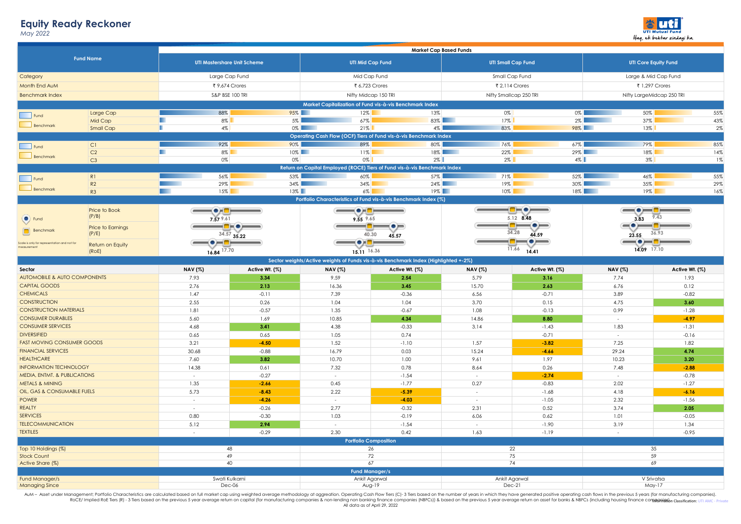## **Equity Ready Reckoner**

*May 2022*



| <b>Fund Name</b>                             |                          | <b>Market Cap Based Funds</b>                                                                                                |                |                                                        |                                                                                     |                           |                |                                                                 |                |  |  |
|----------------------------------------------|--------------------------|------------------------------------------------------------------------------------------------------------------------------|----------------|--------------------------------------------------------|-------------------------------------------------------------------------------------|---------------------------|----------------|-----------------------------------------------------------------|----------------|--|--|
|                                              |                          |                                                                                                                              |                |                                                        |                                                                                     |                           |                |                                                                 |                |  |  |
|                                              |                          | <b>UTI Mastershare Unit Scheme</b>                                                                                           |                | <b>UTI Mid Cap Fund</b>                                |                                                                                     | <b>UTI Small Cap Fund</b> |                | <b>UTI Core Equity Fund</b>                                     |                |  |  |
| Category                                     |                          | Large Cap Fund                                                                                                               |                | Mid Cap Fund                                           |                                                                                     | Small Cap Fund            |                | Large & Mid Cap Fund                                            |                |  |  |
| Month End AuM                                |                          | ₹ 9,674 Crores                                                                                                               |                | ₹ 6,723 Crores                                         |                                                                                     | ₹ 2,114 Crores            |                | ₹ 1,297 Crores                                                  |                |  |  |
| <b>Benchmark Index</b>                       |                          |                                                                                                                              |                |                                                        |                                                                                     |                           |                | Nifty LargeMidcap 250 TRI                                       |                |  |  |
|                                              |                          | S&P BSE 100 TRI<br>Nifty Midcap 150 TRI<br>Nifty Smallcap 250 TRI<br>Market Capitalization of Fund vis-à-vis Benchmark Index |                |                                                        |                                                                                     |                           |                |                                                                 |                |  |  |
|                                              |                          | 88%                                                                                                                          | $95\%$         | $12\%$                                                 | 13%                                                                                 | $0\%$                     | $0\%$          |                                                                 | 55%            |  |  |
| Fund                                         | Large Cap<br>Mid Cap     | ш<br>8%                                                                                                                      | 5%             | 67%                                                    |                                                                                     | 83%<br>$17\%$             | $2\%$          | 50%<br>37%                                                      | 43%            |  |  |
| Benchmark                                    | Small Cap                | п<br>4%                                                                                                                      |                | $0\%$<br>$21\%$                                        |                                                                                     | $4\%$<br>83%              | 98%            | $13\%$                                                          | 2%             |  |  |
|                                              |                          |                                                                                                                              |                |                                                        | Operating Cash Flow (OCF) Tiers of Fund vis-à-vis Benchmark Index                   |                           |                |                                                                 |                |  |  |
|                                              | CI                       | 92%                                                                                                                          | 90%            | 89%                                                    | 80%                                                                                 | 76%                       | $67\%$         | 79%                                                             | 85%            |  |  |
| Fund                                         | C <sub>2</sub>           | п<br>$8\%$                                                                                                                   | $10\%$         | 11%                                                    |                                                                                     | $18\%$<br>22%             | $29\%$         | $18\%$                                                          | 14%            |  |  |
| Benchmark                                    | C3                       | 0%                                                                                                                           | 0%             | $0\%$                                                  |                                                                                     | $2\%$<br>$2\%$            | $4\%$          | $3\%$                                                           | 1%             |  |  |
|                                              |                          |                                                                                                                              |                |                                                        | Return on Capital Employed (ROCE) Tiers of Fund vis-à-vis Benchmark Index           |                           |                |                                                                 |                |  |  |
| Fund                                         | R1                       | 56%                                                                                                                          | 53%            | 60%                                                    | 57%                                                                                 | 71%                       | $52\%$         | 46%                                                             | 55%            |  |  |
|                                              | R2                       | 29%                                                                                                                          | $34\%$         | 34%                                                    |                                                                                     | $24\%$<br>19%             | $30\%$         | 35%                                                             | 29%            |  |  |
| Benchmark                                    | R3                       | $15\%$                                                                                                                       | $13\%$         | $6\%$                                                  |                                                                                     | $19\%$<br>10%             |                | $18\%$<br>19%                                                   | 16%            |  |  |
|                                              |                          |                                                                                                                              |                |                                                        | Portfolio Characteristics of Fund vis-à-vis Benchmark Index (%)                     |                           |                |                                                                 |                |  |  |
|                                              | Price to Book            | $\overline{\phantom{iiiiiiiiiiiiiiiiiii}}$                                                                                   |                | TOEF                                                   |                                                                                     |                           | HOHO-          | $-\bullet$ $-$                                                  | -0-            |  |  |
| $\bullet$ Fund                               | (P/B)                    | 7.57 9.61                                                                                                                    |                | 9.55 9.65                                              |                                                                                     |                           | 5.12 8.48      | 9.43<br>3.83                                                    |                |  |  |
|                                              | <b>Price to Earnings</b> |                                                                                                                              | ▀▛▀▀▀          |                                                        |                                                                                     |                           | $\bullet$ $-$  | $\overline{\phantom{m}}\bullet$ $\overline{\phantom{m}}\bullet$ | =0=            |  |  |
| <b>Benchmark</b>                             | (P/E)                    |                                                                                                                              | 34.57 35.22    |                                                        | 40.30<br>45.57                                                                      |                           | 34.28<br>44.59 | 23.55                                                           | 36.93          |  |  |
| Scale is only for representation and not for | Return on Equity         | $-\bullet$ $ -$                                                                                                              |                | $\blacksquare \bullet \Join \blacksquare \blacksquare$ |                                                                                     |                           | 10 H           | $-\bullet$                                                      | -0             |  |  |
| measurement                                  | (ROE)                    | $16.84$ <sup>17.70</sup>                                                                                                     |                | 15.11 16.36                                            |                                                                                     |                           | 11.66<br>14.41 | 14.09 17.10                                                     |                |  |  |
|                                              |                          |                                                                                                                              |                |                                                        | Sector weights/Active weights of Funds vis-à-vis Benchmark Index (Highlighted +-2%) |                           |                |                                                                 |                |  |  |
| Sector                                       |                          | <b>NAV</b> (%)                                                                                                               | Active Wt. (%) | <b>NAV</b> (%)                                         | Active Wt. (%)                                                                      | <b>NAV</b> (%)            | Active Wt. (%) | <b>NAV</b> (%)                                                  | Active Wt. (%) |  |  |
| AUTOMOBILE & AUTO COMPONENTS                 |                          | 7.93                                                                                                                         | 3.34           | 9.59                                                   | 2.54                                                                                | 5.79                      | 3.16           | 7.74                                                            | 1.93           |  |  |
| <b>CAPITAL GOODS</b>                         |                          | 2.76                                                                                                                         | 2.13           | 16.36                                                  | 3.45                                                                                | 15.70                     | 2.63           | 6.76                                                            | 0.12           |  |  |
| <b>CHEMICALS</b>                             |                          | 1.47                                                                                                                         | $-0.11$        | 7.39                                                   | $-0.36$                                                                             | 6.56                      | $-0.71$        | 3.89                                                            | $-0.82$        |  |  |
| <b>CONSTRUCTION</b>                          |                          | 2.55                                                                                                                         | 0.26           | 1.04                                                   | 1.04                                                                                | 3.70                      | 0.15           | 4.75                                                            | 3.60           |  |  |
| <b>CONSTRUCTION MATERIALS</b>                |                          | 1.81                                                                                                                         | $-0.57$        | 1.35                                                   | $-0.67$                                                                             | 1.08                      | $-0.13$        | 0.99                                                            | $-1.28$        |  |  |
| <b>CONSUMER DURABLES</b>                     |                          | 5.60                                                                                                                         | 1.69           | 10.85                                                  | 4.34                                                                                | 14.86                     | 8.80           | $\sim$                                                          | $-4.97$        |  |  |
| <b>CONSUMER SERVICES</b>                     |                          | 4.68                                                                                                                         | 3.41           | 4.38                                                   | $-0.33$                                                                             | 3.14                      | $-1.43$        | 1.83                                                            | $-1.31$        |  |  |
| <b>DIVERSIFIED</b>                           |                          | 0.65                                                                                                                         | 0.65           | 1.05                                                   | 0.74                                                                                |                           | $-0.71$        | $\sim$                                                          | $-0.16$        |  |  |
| <b>FAST MOVING CONSUMER GOODS</b>            |                          | 3.21                                                                                                                         | $-4.50$        | 1.52                                                   | $-1.10$                                                                             | 1.57                      | $-3.82$        | 7.25                                                            | 1.82           |  |  |
| <b>FINANCIAL SERVICES</b>                    |                          | 30.68                                                                                                                        | $-0.88$        | 16.79                                                  | 0.03                                                                                | 15.24                     | $-4.66$        | 29.24                                                           | 4.74           |  |  |
| <b>HEALTHCARE</b>                            |                          | 7.60                                                                                                                         | 3.82           | 10.70                                                  | 1.00                                                                                | 9.61                      | 1.97           | 10.23                                                           | 3.20           |  |  |
| <b>INFORMATION TECHNOLOGY</b>                |                          | 14.38                                                                                                                        | 0.61           | 7.32                                                   | 0.78                                                                                | 8.64                      | 0.26           | 7.48                                                            | $-2.88$        |  |  |
| MEDIA, ENTMT. & PUBLICATIONS                 |                          | $\sim$                                                                                                                       | $-0.27$        | $\sim$                                                 | $-1.54$                                                                             | $\sim$                    | $-2.74$        | $\sim$                                                          | $-0.78$        |  |  |
| <b>METALS &amp; MINING</b>                   |                          | 1.35                                                                                                                         | $-2.66$        | 0.45                                                   | $-1.77$                                                                             | 0.27                      | $-0.83$        | 2.02                                                            | $-1.27$        |  |  |
| OIL, GAS & CONSUMABLE FUELS                  |                          | 5.73                                                                                                                         | $-8.43$        | 2.22                                                   | $-5.39$                                                                             | $\sim$                    | $-1.68$        | 4.18                                                            | $-6.16$        |  |  |
| <b>POWER</b>                                 |                          | $\sim$                                                                                                                       | $-4.26$        | $\sim$                                                 | $-4.03$                                                                             | $\sim$                    | $-1.05$        | 2.32                                                            | $-1.56$        |  |  |
| <b>REALTY</b>                                |                          | $\sim$                                                                                                                       | $-0.26$        | 2.77                                                   | $-0.32$                                                                             | 2.31                      | 0.52           | 3.74                                                            | 2.05           |  |  |
| <b>SERVICES</b>                              |                          | 0.80                                                                                                                         | $-0.30$        | 1.03                                                   | $-0.19$                                                                             | 6.06                      | 0.62           | 1.01                                                            | $-0.05$        |  |  |
| <b>TELECOMMUNICATION</b>                     |                          | 5.12                                                                                                                         | 2.94           | $\sim$                                                 | $-1.54$                                                                             | $\sim$                    | $-1.90$        | 3.19                                                            | 1.34           |  |  |
| <b>TEXTILES</b>                              |                          | $\sim$                                                                                                                       | $-0.29$        | 2.30                                                   | 0.42                                                                                | 1.63                      | $-1.19$        | $\sim$                                                          | $-0.95$        |  |  |
|                                              |                          |                                                                                                                              |                | <b>Portfolio Composition</b>                           |                                                                                     |                           |                |                                                                 |                |  |  |
| Top 10 Holdings (%)                          |                          | 48                                                                                                                           |                | 26                                                     |                                                                                     | 22                        |                | 35                                                              |                |  |  |
| <b>Stock Count</b>                           |                          | 49                                                                                                                           |                | 72                                                     |                                                                                     | 75                        |                | 59                                                              |                |  |  |
| Active Share (%)                             |                          | 40                                                                                                                           |                | 67                                                     |                                                                                     | 74                        |                | 69                                                              |                |  |  |
|                                              |                          |                                                                                                                              |                |                                                        | <b>Fund Manager/s</b>                                                               |                           |                |                                                                 |                |  |  |
| Fund Manager/s                               |                          | Swati Kulkarni                                                                                                               |                |                                                        | Ankit Agarwal                                                                       |                           | Ankit Agarwal  | V Srivatsa                                                      |                |  |  |
| <b>Managing Since</b>                        |                          | Dec-06                                                                                                                       |                | Aug-19                                                 |                                                                                     | Dec-21                    |                | May-17                                                          |                |  |  |

AuM – Asset under Management; Portfolio Characteristics are calculated based on full market cap using weighted average methodology at aggreation. Operating Cash Flow Tiers (C)-3 Ties based on the number of years in which All data as of April 29, 2022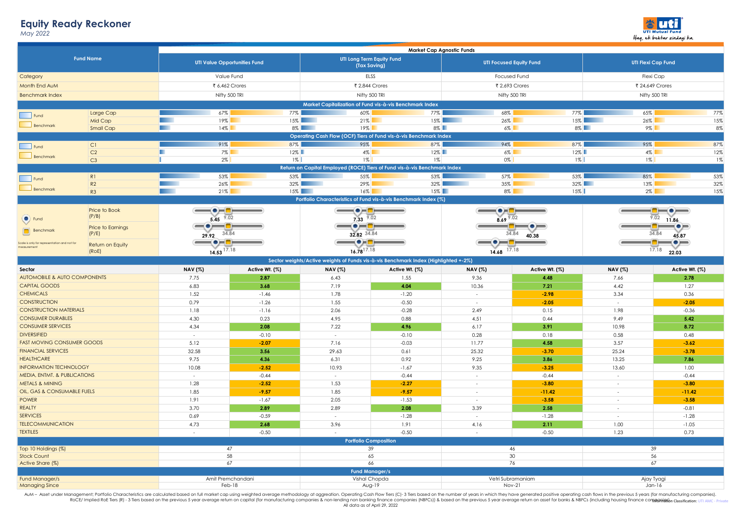## **Equity Ready Reckoner**

*May 2022*



| <b>Fund Name</b>                             |                                                                   | Market Cap Agnostic Funds                                                                                                                       |                    |                                                                                             |                                                                                     |                                     |                                |                                             |                     |  |
|----------------------------------------------|-------------------------------------------------------------------|-------------------------------------------------------------------------------------------------------------------------------------------------|--------------------|---------------------------------------------------------------------------------------------|-------------------------------------------------------------------------------------|-------------------------------------|--------------------------------|---------------------------------------------|---------------------|--|
|                                              |                                                                   | <b>UTI Value Opportunities Fund</b>                                                                                                             |                    | UTI Long Term Equity Fund<br>(Tax Saving)                                                   |                                                                                     |                                     | <b>UTI Focused Equity Fund</b> | <b>UTI Flexi Cap Fund</b>                   |                     |  |
| Category                                     |                                                                   | Value Fund                                                                                                                                      |                    | ELSS                                                                                        |                                                                                     |                                     | <b>Focused Fund</b>            | Flexi Cap                                   |                     |  |
| Month End AuM                                |                                                                   | ₹ 6,462 Crores                                                                                                                                  |                    | ₹ 2,844 Crores                                                                              |                                                                                     | ₹ 2,693 Crores                      |                                | ₹ 24,649 Crores                             |                     |  |
| <b>Benchmark Index</b>                       |                                                                   | Nifty 500 TRI                                                                                                                                   |                    | Nifty 500 TRI                                                                               |                                                                                     | Nifty 500 TRI                       |                                | Nifty 500 TRI                               |                     |  |
|                                              | Market Capitalization of Fund vis-à-vis Benchmark Index           |                                                                                                                                                 |                    |                                                                                             |                                                                                     |                                     |                                |                                             |                     |  |
| Fund                                         | Large Cap                                                         | 67%                                                                                                                                             | $77\%$             | 60%                                                                                         | 77%                                                                                 | 68%                                 | $77\%$                         | 65%                                         | 77%                 |  |
|                                              | Mid Cap                                                           | 19%<br>. .                                                                                                                                      |                    | $15\%$<br>$21\%$                                                                            | 15%                                                                                 | $26\%$                              | $15\%$                         | $26\%$                                      | 15%                 |  |
| Benchmark                                    | Small Cap                                                         | $14\%$                                                                                                                                          |                    | $19\%$<br>$8\%$                                                                             |                                                                                     | $8\%$<br>$6\%$                      | $8\%$                          |                                             | 8%<br>$9\%$         |  |
|                                              | Operating Cash Flow (OCF) Tiers of Fund vis-à-vis Benchmark Index |                                                                                                                                                 |                    |                                                                                             |                                                                                     |                                     |                                |                                             |                     |  |
| Fund                                         | CI                                                                | 91%                                                                                                                                             | 87%                | 95%                                                                                         | 87%                                                                                 | 94%                                 | 87%                            | 95%                                         | 87%                 |  |
| Benchmark                                    | C <sub>2</sub>                                                    | п<br>$7\%$                                                                                                                                      | $12\%$             |                                                                                             | $4\%$<br>$12\%$                                                                     | $6\%$                               | $12\%$                         |                                             | 12%<br>$4\%$        |  |
|                                              | C3                                                                | ш<br>$2\%$                                                                                                                                      | $1\%$              | $1\%$                                                                                       | $1\%$                                                                               | $0\%$                               | $1\%$                          | $1\%$                                       | 1%                  |  |
|                                              |                                                                   |                                                                                                                                                 |                    |                                                                                             | Return on Capital Employed (ROCE) Tiers of Fund vis-à-vis Benchmark Index           |                                     |                                |                                             |                     |  |
| Fund                                         | R1<br>R2                                                          | 53%<br>26%                                                                                                                                      | 53%                | 55%<br>$32\%$<br>29%                                                                        | 53%<br>$32\%$                                                                       | 57%<br>35%                          | 53%                            | 85%<br>$32\%$<br>13%                        | 53%<br>32%          |  |
| Benchmark                                    | R3                                                                | 21%<br>. .                                                                                                                                      |                    | $15\%$<br>16%                                                                               | $15\%$                                                                              | 8%                                  | 15%                            | $2\%$                                       | 15%                 |  |
|                                              |                                                                   |                                                                                                                                                 |                    |                                                                                             | Portfolio Characteristics of Fund vis-à-vis Benchmark Index (%)                     |                                     |                                |                                             |                     |  |
|                                              | Price to Book                                                     |                                                                                                                                                 |                    |                                                                                             |                                                                                     |                                     |                                |                                             |                     |  |
| $\bullet$ Fund                               | (P/B)                                                             | $-\bullet$ $-\bullet$ $-$<br>5.45 $9.02$                                                                                                        |                    | $\overline{\phantom{a}}\bullet$ . $\overline{\phantom{a}}\bullet$<br>$7.33 \overline{9.02}$ |                                                                                     | ▔●▔▛▀                               |                                | $\blacksquare \bullet \blacksquare$<br>9.02 |                     |  |
|                                              | Price to Earnings                                                 | $\overline{\phantom{m}}\bullet\overline{\phantom{m}}$                                                                                           |                    | ◑▅▅                                                                                         |                                                                                     | $8.69$ $9.02$                       |                                | 11.86<br>$\bullet =$                        |                     |  |
| Benchmark                                    | (P/E)                                                             | 29.92 34.84                                                                                                                                     |                    | 32.82 34.84                                                                                 |                                                                                     | 34.84                               |                                | 34.84                                       |                     |  |
| Scale is only for representation and not for |                                                                   | $\hspace{1.5cm} \bullet$ $\hspace{1.5cm}$ $\hspace{1.5cm}$ $\hspace{1.5cm}$ $\hspace{1.5cm}$ $\hspace{1.5cm}$ $\hspace{1.5cm}$ $\hspace{1.5cm}$ |                    | $-\bullet$ . $-\bullet$                                                                     |                                                                                     | 40.38<br>$-\bullet$ $ -\bullet$ $-$ |                                | 45.87<br>- <del>- -</del><br>⊣●━            |                     |  |
| measurement                                  | Return on Equity<br>(ROE)                                         | 14.53 17.18                                                                                                                                     |                    | $16.78^{17.18}$                                                                             |                                                                                     | $14.68$ 17.18                       |                                |                                             | 17.18<br>22.03      |  |
|                                              |                                                                   |                                                                                                                                                 |                    |                                                                                             | Sector weights/Active weights of Funds vis-à-vis Benchmark Index (Highlighted +-2%) |                                     |                                |                                             |                     |  |
| Sector                                       |                                                                   | <b>NAV</b> (%)                                                                                                                                  | Active Wt. (%)     | <b>NAV</b> (%)                                                                              | Active Wt. (%)                                                                      | <b>NAV</b> (%)                      | Active Wt. (%)                 | <b>NAV</b> (%)                              | Active Wt. (%)      |  |
| AUTOMOBILE & AUTO COMPONENTS                 |                                                                   | 7.75                                                                                                                                            | 2.87               | 6.43                                                                                        | 1.55                                                                                | 9.36                                | 4.48                           | 7.66                                        | 2.78                |  |
| <b>CAPITAL GOODS</b>                         |                                                                   | 6.83                                                                                                                                            | 3.68               | 7.19                                                                                        | 4.04                                                                                | 10.36                               | 7.21                           | 4.42                                        | 1.27                |  |
| <b>CHEMICALS</b>                             |                                                                   | 1.52                                                                                                                                            | $-1.46$            | 1.78                                                                                        | $-1.20$                                                                             | $\sim$                              | $-2.98$                        | 3.34                                        | 0.36                |  |
| <b>CONSTRUCTION</b>                          |                                                                   | 0.79                                                                                                                                            | $-1.26$            | 1.55                                                                                        | $-0.50$                                                                             | $\sim$                              | $-2.05$                        | $\sim$                                      | $-2.05$             |  |
| <b>CONSTRUCTION MATERIALS</b>                |                                                                   | 1.18                                                                                                                                            | $-1.16$            | 2.06                                                                                        | $-0.28$                                                                             | 2.49                                | 0.15                           | 1.98                                        | $-0.36$             |  |
| <b>CONSUMER DURABLES</b>                     |                                                                   | 4.30                                                                                                                                            | 0.23               | 4.95                                                                                        | 0.88                                                                                | 4.51                                | 0.44                           | 9.49                                        | 5.42                |  |
| <b>CONSUMER SERVICES</b>                     |                                                                   | 4.34                                                                                                                                            | 2.08               | 7.22                                                                                        | 4.96                                                                                | 6.17                                | 3.91                           | 10.98                                       | 8.72                |  |
| <b>DIVERSIFIED</b>                           |                                                                   | $\sim$                                                                                                                                          | $-0.10$            | $\sim$                                                                                      | $-0.10$                                                                             | 0.28                                | 0.18                           | 0.58                                        | 0.48                |  |
| <b>FAST MOVING CONSUMER GOODS</b>            |                                                                   | 5.12                                                                                                                                            | $-2.07$            | 7.16                                                                                        | $-0.03$                                                                             | 11.77                               | 4.58                           | 3.57                                        | $-3.62$             |  |
| <b>FINANCIAL SERVICES</b>                    |                                                                   | 32.58                                                                                                                                           | 3.56               | 29.63                                                                                       | 0.61                                                                                | 25.32                               | $-3.70$                        | 25.24                                       | $-3.78$             |  |
| <b>HEALTHCARE</b>                            |                                                                   | 9.75                                                                                                                                            | 4.36               | 6.31                                                                                        | 0.92                                                                                | 9.25                                | 3.86                           | 13.25                                       | 7.86                |  |
| <b>INFORMATION TECHNOLOGY</b>                |                                                                   | 10.08                                                                                                                                           | $-2.52$            | 10.93                                                                                       | $-1.67$                                                                             | 9.35                                | $-3.25$                        | 13.60                                       | 1.00                |  |
| MEDIA, ENTMT. & PUBLICATIONS                 |                                                                   | $\sim$                                                                                                                                          | $-0.44$            | i.                                                                                          | $-0.44$                                                                             | $\sim$                              | $-0.44$                        | $\sim$                                      | $-0.44$             |  |
| <b>METALS &amp; MINING</b>                   |                                                                   | 1.28                                                                                                                                            | $-2.52$            | 1.53                                                                                        | $-2.27$                                                                             | $\sim$                              | $-3.80$                        | $\sim$                                      | $-3.80$             |  |
| OIL, GAS & CONSUMABLE FUELS                  |                                                                   | 1.85<br>1.91                                                                                                                                    | $-9.57$<br>$-1.67$ | 1.85<br>2.05                                                                                | $-9.57$<br>$-1.53$                                                                  | $\sim$<br>$\sim$                    | $-11.42$<br>$-3.58$            | $\sim$<br>$\sim$                            | $-11.42$<br>$-3.58$ |  |
| <b>POWER</b><br><b>REALTY</b>                |                                                                   | 3.70                                                                                                                                            | 2.89               | 2.89                                                                                        | 2.08                                                                                | 3.39                                | 2.58                           | $\sim$                                      | $-0.81$             |  |
| <b>SERVICES</b>                              |                                                                   | 0.69                                                                                                                                            | $-0.59$            | $\sim$                                                                                      | $-1.28$                                                                             | $\sim$                              | $-1.28$                        | $\sim$                                      | $-1.28$             |  |
| <b>TELECOMMUNICATION</b>                     |                                                                   | 4.73                                                                                                                                            | 2.68               | 3.96                                                                                        | 1.91                                                                                | 4.16                                | 2.11                           | 1.00                                        | $-1.05$             |  |
| <b>TEXTILES</b>                              |                                                                   | $\sim$                                                                                                                                          | $-0.50$            | n.                                                                                          | $-0.50$                                                                             | $\sim$                              | $-0.50$                        | 1.23                                        | 0.73                |  |
|                                              |                                                                   |                                                                                                                                                 |                    | <b>Portfolio Composition</b>                                                                |                                                                                     |                                     |                                |                                             |                     |  |
| Top 10 Holdings (%)                          |                                                                   | 47                                                                                                                                              |                    | 39                                                                                          |                                                                                     | 46                                  |                                | 39                                          |                     |  |
| <b>Stock Count</b>                           |                                                                   | 58                                                                                                                                              |                    | 65                                                                                          |                                                                                     | 30                                  |                                | 56                                          |                     |  |
| Active Share (%)                             |                                                                   | 67                                                                                                                                              |                    | 66                                                                                          |                                                                                     | 76                                  |                                | 67                                          |                     |  |
|                                              |                                                                   |                                                                                                                                                 |                    |                                                                                             | <b>Fund Manager/s</b>                                                               |                                     |                                |                                             |                     |  |
| Fund Manager/s                               |                                                                   | Amit Premchandani                                                                                                                               |                    |                                                                                             | Vishal Chopda                                                                       | Vetri Subramaniam                   |                                |                                             | Ajay Tyagi          |  |
| <b>Managing Since</b>                        |                                                                   | Feb-18                                                                                                                                          |                    | Aug-19                                                                                      |                                                                                     | Nov-21                              |                                | Jan-16                                      |                     |  |

AuM – Asset under Management; Portfolio Characteristics are calculated based on full market cap using weighted average methodology at aggreation. Operating Cash Flow Tiers (C)-3 Ties based on the number of years in which All data as of April 29, 2022